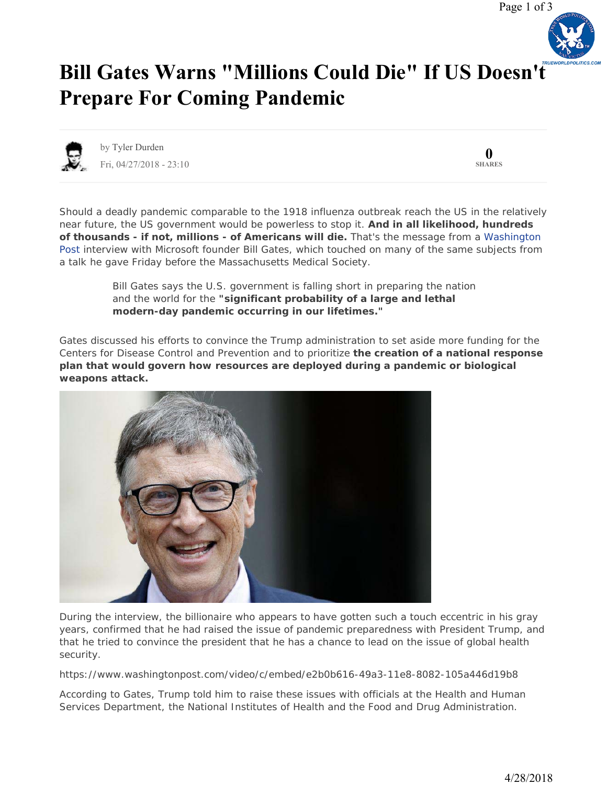

## **[Bill Gates Warns "Millions Could Die" If US Doesn'](https://www.zerohedge.com/news/2018-04-27/bill-gates-warns-millions-could-die-if-us-doesnt-prepare-next-pandemic)t Prepare For Coming Pandemic**



by Tyler Durden Fri, 04/27/2018 - 23:10

**0 SHARES**

Should a deadly pandemic comparable to the 1918 influenza outbreak reach the US in the relatively near future, the US government would be powerless to stop it. **And in all likelihood, hundreds of thousands - if not, millions - of Americans will die.** That's the message from a Washington Post interview with Microsoft founder Bill Gates, which touched on many of the same subjects from a talk he gave Friday before the Massachusetts Medical Society.

> *Bill Gates says the U.S. government is falling short in preparing the nation and the world for the "significant probability of a large and lethal modern-day pandemic occurring in our lifetimes."*

Gates discussed his efforts to convince the Trump administration to set aside more funding for the Centers for Disease Control and Prevention and to prioritize **the creation of a national response plan that would govern how resources are deployed during a pandemic or biological weapons attack.**



During the interview, the billionaire who appears to have gotten such a touch eccentric in his gray years, confirmed that he had raised the issue of pandemic preparedness with President Trump, and that he tried to convince the president that he has a chance to lead on the issue of global health security.

https://www.washingtonpost.com/video/c/embed/e2b0b616-49a3-11e8-8082-105a446d19b8

According to Gates, Trump told him to raise these issues with officials at the Health and Human Services Department, the National Institutes of Health and the Food and Drug Administration.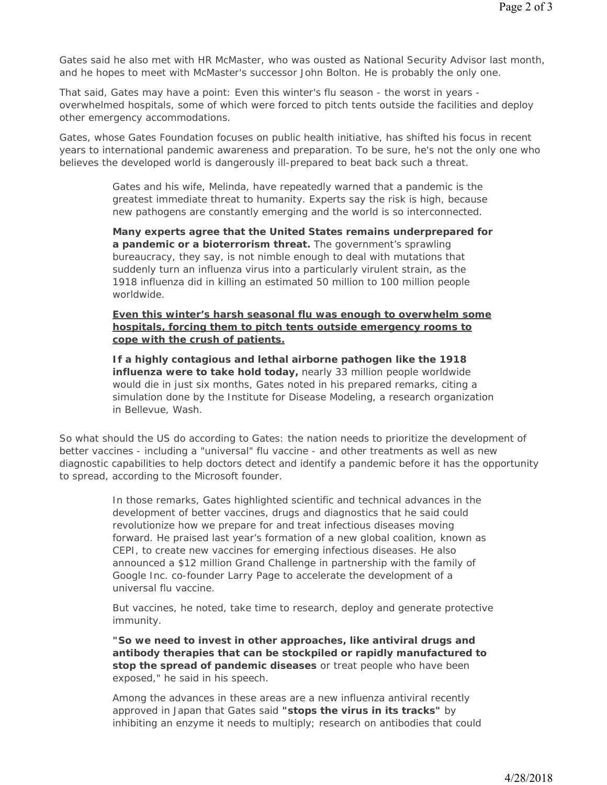Gates said he also met with HR McMaster, who was ousted as National Security Advisor last month, and he hopes to meet with McMaster's successor John Bolton. He is probably the only one.

That said, Gates may have a point: Even this winter's flu season - the worst in years overwhelmed hospitals, some of which were forced to pitch tents outside the facilities and deploy other emergency accommodations.

Gates, whose Gates Foundation focuses on public health initiative, has shifted his focus in recent years to international pandemic awareness and preparation. To be sure, he's not the only one who believes the developed world is dangerously ill-prepared to beat back such a threat.

> *Gates and his wife, Melinda, have repeatedly warned that a pandemic is the greatest immediate threat to humanity. Experts say the risk is high, because new pathogens are constantly emerging and the world is so interconnected.*

*Many experts agree that the United States remains underprepared for a pandemic or a bioterrorism threat. The government's sprawling bureaucracy, they say, is not nimble enough to deal with mutations that suddenly turn an influenza virus into a particularly virulent strain, as the 1918 influenza did in killing an estimated 50 million to 100 million people worldwide.*

*Even this winter's harsh seasonal flu was enough to overwhelm some hospitals, forcing them to pitch tents outside emergency rooms to cope with the crush of patients.*

*If a highly contagious and lethal airborne pathogen like the 1918 influenza were to take hold today, nearly 33 million people worldwide would die in just six months, Gates noted in his prepared remarks, citing a simulation done by the Institute for Disease Modeling, a research organization in Bellevue, Wash.*

So what should the US do according to Gates: the nation needs to prioritize the development of better vaccines - including a "universal" flu vaccine - and other treatments as well as new diagnostic capabilities to help doctors detect and identify a pandemic before it has the opportunity to spread, according to the Microsoft founder.

> *In those remarks, Gates highlighted scientific and technical advances in the development of better vaccines, drugs and diagnostics that he said could revolutionize how we prepare for and treat infectious diseases moving forward. He praised last year's formation of a new global coalition, known as CEPI, to create new vaccines for emerging infectious diseases. He also announced a \$12 million Grand Challenge in partnership with the family of Google Inc. co-founder Larry Page to accelerate the development of a universal flu vaccine.*

*But vaccines, he noted, take time to research, deploy and generate protective immunity.*

*"So we need to invest in other approaches, like antiviral drugs and antibody therapies that can be stockpiled or rapidly manufactured to stop the spread of pandemic diseases or treat people who have been exposed," he said in his speech.*

*Among the advances in these areas are a new influenza antiviral recently approved in Japan that Gates said "stops the virus in its tracks" by inhibiting an enzyme it needs to multiply; research on antibodies that could*